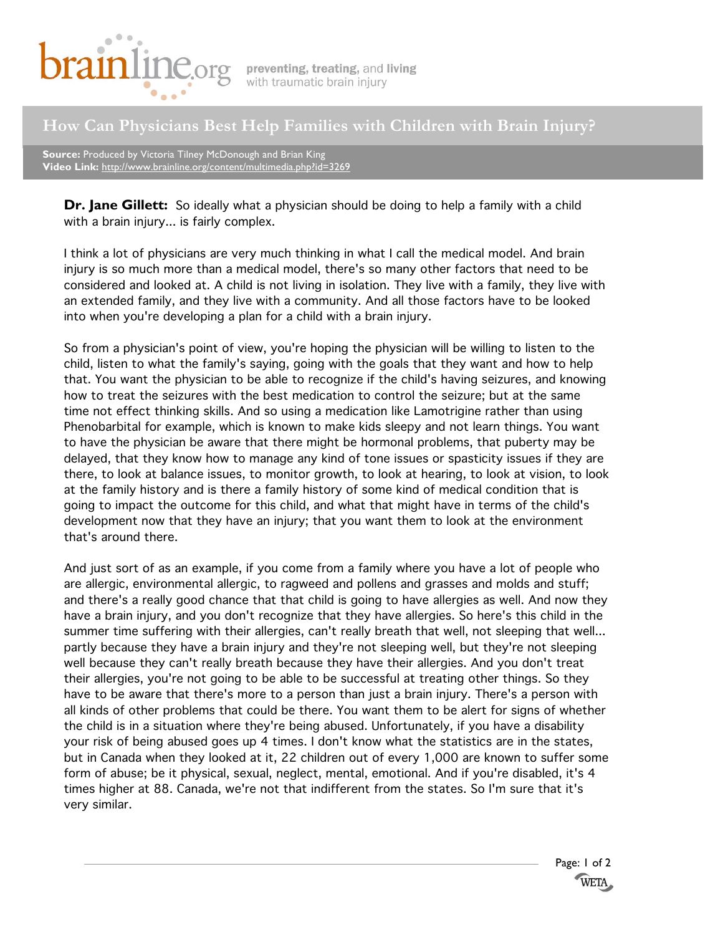

## **How Can Physicians Best Help Families with Children with Brain Injury?**

**Source:** Produced by Victoria Tilney McDonough and Brian King **Video Link:** http://www.brainline.org/content/multimedia.php?id=3269

**Dr. Jane Gillett:** So ideally what a physician should be doing to help a family with a child with a brain injury... is fairly complex.

I think a lot of physicians are very much thinking in what I call the medical model. And brain injury is so much more than a medical model, there's so many other factors that need to be considered and looked at. A child is not living in isolation. They live with a family, they live with an extended family, and they live with a community. And all those factors have to be looked into when you're developing a plan for a child with a brain injury.

So from a physician's point of view, you're hoping the physician will be willing to listen to the child, listen to what the family's saying, going with the goals that they want and how to help that. You want the physician to be able to recognize if the child's having seizures, and knowing how to treat the seizures with the best medication to control the seizure; but at the same time not effect thinking skills. And so using a medication like Lamotrigine rather than using Phenobarbital for example, which is known to make kids sleepy and not learn things. You want to have the physician be aware that there might be hormonal problems, that puberty may be delayed, that they know how to manage any kind of tone issues or spasticity issues if they are there, to look at balance issues, to monitor growth, to look at hearing, to look at vision, to look at the family history and is there a family history of some kind of medical condition that is going to impact the outcome for this child, and what that might have in terms of the child's development now that they have an injury; that you want them to look at the environment that's around there.

And just sort of as an example, if you come from a family where you have a lot of people who are allergic, environmental allergic, to ragweed and pollens and grasses and molds and stuff; and there's a really good chance that that child is going to have allergies as well. And now they have a brain injury, and you don't recognize that they have allergies. So here's this child in the summer time suffering with their allergies, can't really breath that well, not sleeping that well... partly because they have a brain injury and they're not sleeping well, but they're not sleeping well because they can't really breath because they have their allergies. And you don't treat their allergies, you're not going to be able to be successful at treating other things. So they have to be aware that there's more to a person than just a brain injury. There's a person with all kinds of other problems that could be there. You want them to be alert for signs of whether the child is in a situation where they're being abused. Unfortunately, if you have a disability your risk of being abused goes up 4 times. I don't know what the statistics are in the states, but in Canada when they looked at it, 22 children out of every 1,000 are known to suffer some form of abuse; be it physical, sexual, neglect, mental, emotional. And if you're disabled, it's 4 times higher at 88. Canada, we're not that indifferent from the states. So I'm sure that it's very similar.